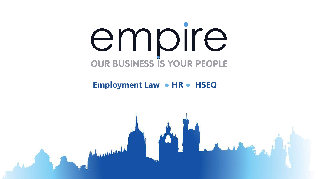# empire **OUR BUSINESS IS YOUR PEOPLE**

#### **Employment Law ● HR ● HSEQ**

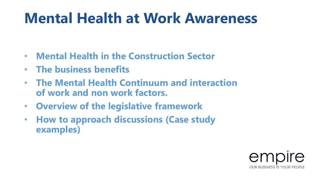#### **Mental Health at Work Awareness**

- **Mental Health in the Construction Sector**
- **The business benefits**
- **The Mental Health Continuum and interaction of work and non work factors.**
- **Overview of the legislative framework**
- **How to approach discussions (Case study examples)**

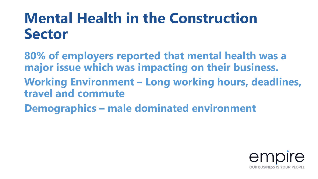#### **Mental Health in the Construction Sector**

**80% of employers reported that mental health was a major issue which was impacting on their business. Working Environment – Long working hours, deadlines, travel and commute Demographics – male dominated environment**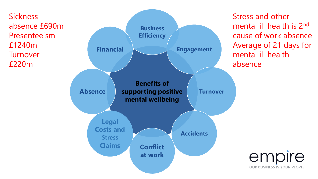**Sickness** absence £690m Presenteeism £1240m **Turnover** £220m



Stress and other mental ill health is 2nd cause of work absence Average of 21 days for mental ill health absence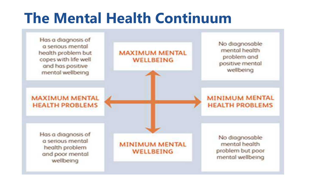#### **The Mental Health Continuum**

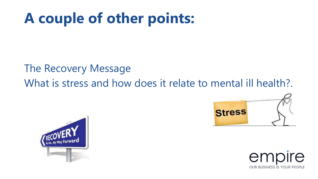#### **A couple of other points:**

#### The Recovery Message What is stress and how does it relate to mental ill health?





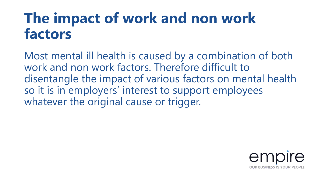#### **The impact of work and non work factors**

Most mental ill health is caused by a combination of both work and non work factors. Therefore difficult to disentangle the impact of various factors on mental health so it is in employers' interest to support employees whatever the original cause or trigger.

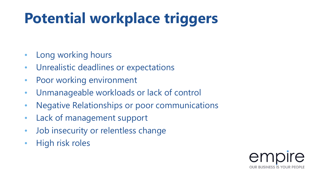## **Potential workplace triggers**

- Long working hours
- Unrealistic deadlines or expectations
- Poor working environment
- Unmanageable workloads or lack of control
- Negative Relationships or poor communications
- Lack of management support
- Job insecurity or relentless change
- High risk roles

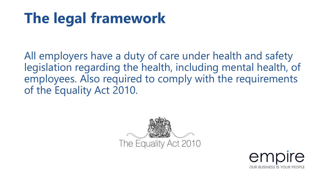### **The legal framework**

All employers have a duty of care under health and safety legislation regarding the health, including mental health, of employees. Also required to comply with the requirements of the Equality Act 2010.



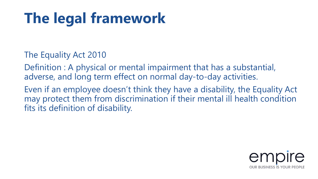## **The legal framework**

The Equality Act 2010

Definition : A physical or mental impairment that has a substantial, adverse, and long term effect on normal day-to-day activities.

Even if an employee doesn't think they have a disability, the Equality Act may protect them from discrimination if their mental ill health condition fits its definition of disability.

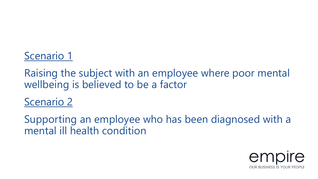#### Scenario 1

Raising the subject with an employee where poor mental wellbeing is believed to be a factor

Scenario 2

Supporting an employee who has been diagnosed with a mental ill health condition

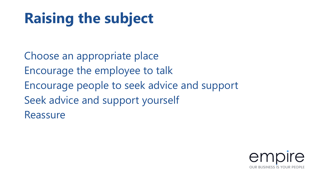### **Raising the subject**

Choose an appropriate place Encourage the employee to talk Encourage people to seek advice and support Seek advice and support yourself Reassure

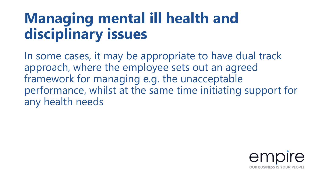#### **Managing mental ill health and disciplinary issues**

In some cases, it may be appropriate to have dual track approach, where the employee sets out an agreed framework for managing e.g. the unacceptable performance, whilst at the same time initiating support for any health needs

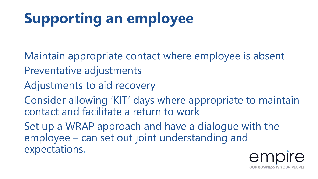## **Supporting an employee**

- Maintain appropriate contact where employee is absent Preventative adjustments
- Adjustments to aid recovery
- Consider allowing 'KIT' days where appropriate to maintain contact and facilitate a return to work
- Set up a WRAP approach and have a dialogue with the employee – can set out joint understanding and expectations**.**